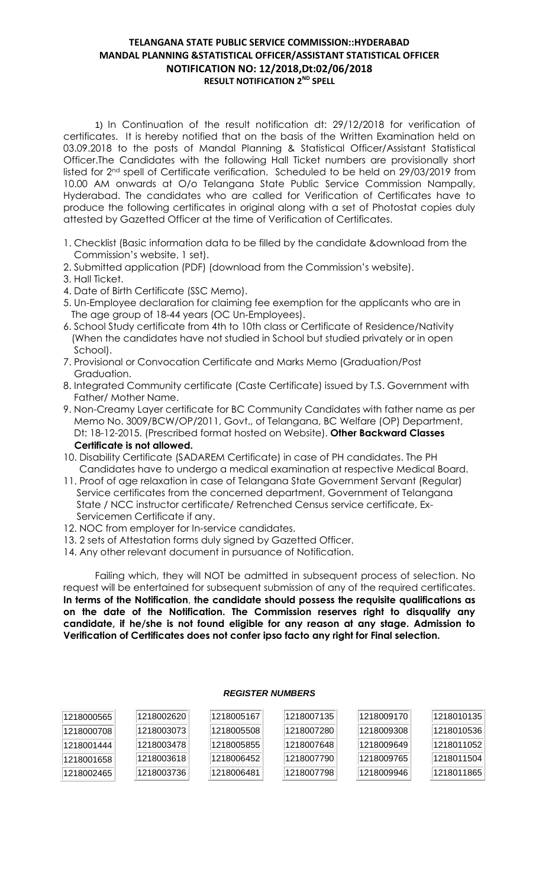## **TELANGANA STATE PUBLIC SERVICE COMMISSION::HYDERABAD MANDAL PLANNING &STATISTICAL OFFICER/ASSISTANT STATISTICAL OFFICER NOTIFICATION NO: 12/2018,Dt:02/06/2018 RESULT NOTIFICATION 2 ND SPELL**

1) In Continuation of the result notification dt: 29/12/2018 for verification of certificates. It is hereby notified that on the basis of the Written Examination held on 03.09.2018 to the posts of Mandal Planning & Statistical Officer/Assistant Statistical Officer.The Candidates with the following Hall Ticket numbers are provisionally short listed for 2nd spell of Certificate verification. Scheduled to be held on 29/03/2019 from 10.00 AM onwards at O/o Telangana State Public Service Commission Nampally, Hyderabad. The candidates who are called for Verification of Certificates have to produce the following certificates in original along with a set of Photostat copies duly attested by Gazetted Officer at the time of Verification of Certificates.

- 1. Checklist (Basic information data to be filled by the candidate &download from the Commission's website, 1 set).
- 2. Submitted application (PDF) (download from the Commission's website).
- 3. Hall Ticket.
- 4. Date of Birth Certificate (SSC Memo).
- 5. Un-Employee declaration for claiming fee exemption for the applicants who are in The age group of 18-44 years (OC Un-Employees).
- 6. School Study certificate from 4th to 10th class or Certificate of Residence/Nativity (When the candidates have not studied in School but studied privately or in open School).
- 7. Provisional or Convocation Certificate and Marks Memo (Graduation/Post Graduation.
- 8. Integrated Community certificate (Caste Certificate) issued by T.S. Government with Father/ Mother Name.
- 9. Non-Creamy Layer certificate for BC Community Candidates with father name as per Memo No. 3009/BCW/OP/2011, Govt., of Telangana, BC Welfare (OP) Department, Dt: 18-12-2015. (Prescribed format hosted on Website). **Other Backward Classes Certificate is not allowed.**
- 10. Disability Certificate (SADAREM Certificate) in case of PH candidates. The PH Candidates have to undergo a medical examination at respective Medical Board.
- 11. Proof of age relaxation in case of Telangana State Government Servant (Regular) Service certificates from the concerned department, Government of Telangana State / NCC instructor certificate/ Retrenched Census service certificate, Ex- Servicemen Certificate if any.
- 12. NOC from employer for In-service candidates.
- 13. 2 sets of Attestation forms duly signed by Gazetted Officer.
- 14. Any other relevant document in pursuance of Notification.

Failing which, they will NOT be admitted in subsequent process of selection. No request will be entertained for subsequent submission of any of the required certificates. **In terms of the Notification**, **the candidate should possess the requisite qualifications as on the date of the Notification. The Commission reserves right to disqualify any candidate, if he/she is not found eligible for any reason at any stage. Admission to Verification of Certificates does not confer ipso facto any right for Final selection.**

| 1218000565 | 1218002620 | 1218005167 | 1218007135 | 1218009170 | 1218010135 |
|------------|------------|------------|------------|------------|------------|
| 1218000708 | 1218003073 | 1218005508 | 1218007280 | 1218009308 | 1218010536 |
| 1218001444 | 1218003478 | 1218005855 | 1218007648 | 1218009649 | 1218011052 |
| 1218001658 | 1218003618 | 1218006452 | 1218007790 | 1218009765 | 1218011504 |
| 1218002465 | 1218003736 | 1218006481 | 1218007798 | 1218009946 | 1218011865 |

## *REGISTER NUMBERS*